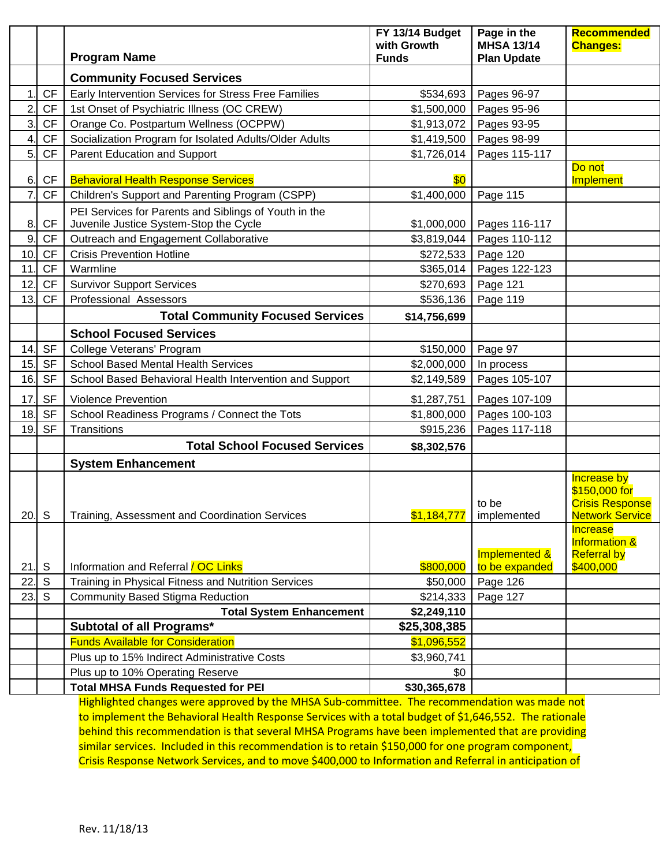|                |           |                                                                                                                                                                                                                                                                                   | FY 13/14 Budget<br>with Growth | Page in the<br><b>MHSA 13/14</b>    | <b>Recommended</b><br><b>Changes:</b>                                            |
|----------------|-----------|-----------------------------------------------------------------------------------------------------------------------------------------------------------------------------------------------------------------------------------------------------------------------------------|--------------------------------|-------------------------------------|----------------------------------------------------------------------------------|
|                |           | <b>Program Name</b>                                                                                                                                                                                                                                                               | <b>Funds</b>                   | <b>Plan Update</b>                  |                                                                                  |
|                |           | <b>Community Focused Services</b>                                                                                                                                                                                                                                                 |                                |                                     |                                                                                  |
| 1              | CF        | Early Intervention Services for Stress Free Families                                                                                                                                                                                                                              | \$534,693                      | Pages 96-97                         |                                                                                  |
| $\overline{2}$ | CF        | 1st Onset of Psychiatric Illness (OC CREW)                                                                                                                                                                                                                                        | \$1,500,000                    | Pages 95-96                         |                                                                                  |
| 3.             | <b>CF</b> | Orange Co. Postpartum Wellness (OCPPW)                                                                                                                                                                                                                                            | \$1,913,072                    | Pages 93-95                         |                                                                                  |
| $\overline{4}$ | <b>CF</b> | Socialization Program for Isolated Adults/Older Adults                                                                                                                                                                                                                            | \$1,419,500                    | Pages 98-99                         |                                                                                  |
| 5.             | CF        | Parent Education and Support                                                                                                                                                                                                                                                      | \$1,726,014                    | Pages 115-117                       |                                                                                  |
| 6.             | <b>CF</b> | <b>Behavioral Health Response Services</b>                                                                                                                                                                                                                                        | \$0                            |                                     | Do not<br>Implement                                                              |
| $\overline{7}$ | CF        | Children's Support and Parenting Program (CSPP)                                                                                                                                                                                                                                   | \$1,400,000                    | Page 115                            |                                                                                  |
| 8.             | <b>CF</b> | PEI Services for Parents and Siblings of Youth in the<br>Juvenile Justice System-Stop the Cycle                                                                                                                                                                                   | \$1,000,000                    | Pages 116-117                       |                                                                                  |
| 9.             | CF        | Outreach and Engagement Collaborative                                                                                                                                                                                                                                             | \$3,819,044                    | Pages 110-112                       |                                                                                  |
| 10.            | <b>CF</b> | <b>Crisis Prevention Hotline</b>                                                                                                                                                                                                                                                  | \$272,533                      | Page 120                            |                                                                                  |
| 11.            | <b>CF</b> | Warmline                                                                                                                                                                                                                                                                          | \$365,014                      | Pages 122-123                       |                                                                                  |
| 12.            | <b>CF</b> | <b>Survivor Support Services</b>                                                                                                                                                                                                                                                  | \$270,693                      | Page 121                            |                                                                                  |
| 13.            | <b>CF</b> | Professional Assessors                                                                                                                                                                                                                                                            | \$536,136                      | Page 119                            |                                                                                  |
|                |           | <b>Total Community Focused Services</b>                                                                                                                                                                                                                                           | \$14,756,699                   |                                     |                                                                                  |
|                |           | <b>School Focused Services</b>                                                                                                                                                                                                                                                    |                                |                                     |                                                                                  |
| 14.            | <b>SF</b> | College Veterans' Program                                                                                                                                                                                                                                                         | \$150,000                      | Page 97                             |                                                                                  |
| 15.            | <b>SF</b> | <b>School Based Mental Health Services</b>                                                                                                                                                                                                                                        | \$2,000,000                    | In process                          |                                                                                  |
| 16.            | <b>SF</b> | School Based Behavioral Health Intervention and Support                                                                                                                                                                                                                           | \$2,149,589                    | Pages 105-107                       |                                                                                  |
| 17.            | <b>SF</b> | <b>Violence Prevention</b>                                                                                                                                                                                                                                                        | \$1,287,751                    | Pages 107-109                       |                                                                                  |
| 18.            | <b>SF</b> | School Readiness Programs / Connect the Tots                                                                                                                                                                                                                                      | \$1,800,000                    | Pages 100-103                       |                                                                                  |
| 19.            | <b>SF</b> | Transitions                                                                                                                                                                                                                                                                       | \$915,236                      | Pages 117-118                       |                                                                                  |
|                |           | <b>Total School Focused Services</b>                                                                                                                                                                                                                                              | \$8,302,576                    |                                     |                                                                                  |
|                |           | <b>System Enhancement</b>                                                                                                                                                                                                                                                         |                                |                                     |                                                                                  |
| $20.$ S        |           | Training, Assessment and Coordination Services                                                                                                                                                                                                                                    |                                | to be<br>$$1,184,777$   implemented | <b>Increase by</b><br>\$150,000 for<br><b>Crisis Response</b><br>Network Service |
| 21.            | S         | Information and Referral / OC Links                                                                                                                                                                                                                                               | \$800,000                      | Implemented &<br>to be expanded     | <b>Increase</b><br><b>Information &amp;</b><br><b>Referral by</b><br>\$400,000   |
| 22.            | S         | Training in Physical Fitness and Nutrition Services                                                                                                                                                                                                                               | \$50,000                       | Page 126                            |                                                                                  |
| 23.            | S         | <b>Community Based Stigma Reduction</b>                                                                                                                                                                                                                                           | \$214,333                      | Page 127                            |                                                                                  |
|                |           | <b>Total System Enhancement</b>                                                                                                                                                                                                                                                   | \$2,249,110                    |                                     |                                                                                  |
|                |           | Subtotal of all Programs*                                                                                                                                                                                                                                                         | \$25,308,385                   |                                     |                                                                                  |
|                |           | <b>Funds Available for Consideration</b>                                                                                                                                                                                                                                          | \$1,096,552                    |                                     |                                                                                  |
|                |           | Plus up to 15% Indirect Administrative Costs                                                                                                                                                                                                                                      | \$3,960,741                    |                                     |                                                                                  |
|                |           | Plus up to 10% Operating Reserve                                                                                                                                                                                                                                                  | \$0                            |                                     |                                                                                  |
|                |           | <b>Total MHSA Funds Requested for PEI</b><br><u>and the state of the state of the state of the state of the state of the state of the state of the state of the state of the state of the state of the state of the state of the state of the state of the state of the state</u> | \$30,365,678                   |                                     |                                                                                  |

Highlighted changes were approved by the MHSA Sub-committee. The recommendation was made not to implement the Behavioral Health Response Services with a total budget of \$1,646,552. The rationale behind this recommendation is that several MHSA Programs have been implemented that are providing similar services. Included in this recommendation is to retain \$150,000 for one program component, Crisis Response Network Services, and to move \$400,000 to Information and Referral in anticipation of